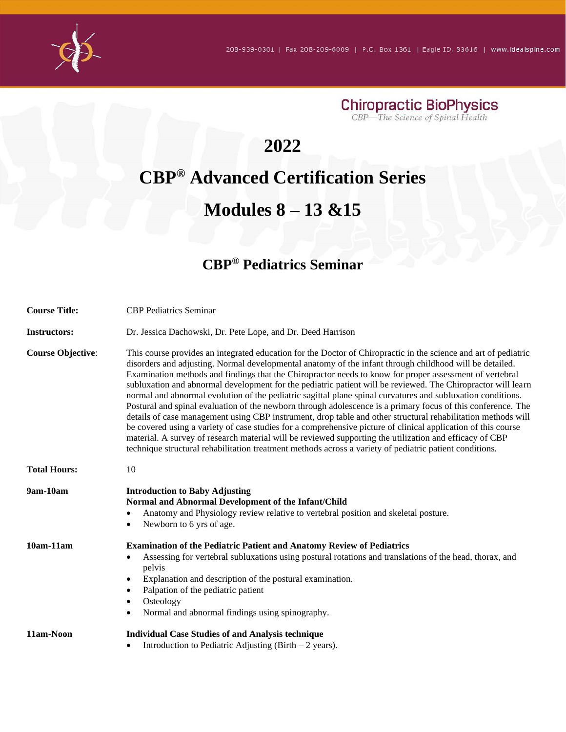

#### **2022**

## **CBP® Advanced Certification Series**

#### **Modules 8 – 13 &15**

#### **CBP® Pediatrics Seminar**

| <b>Course Title:</b>     | <b>CBP</b> Pediatrics Seminar                                                                                                                                                                                                                                                                                                                                                                                                                                                                                                                                                                                                                                                                                                                                                                                                                                                                                                                                                                                                                                                                                                               |
|--------------------------|---------------------------------------------------------------------------------------------------------------------------------------------------------------------------------------------------------------------------------------------------------------------------------------------------------------------------------------------------------------------------------------------------------------------------------------------------------------------------------------------------------------------------------------------------------------------------------------------------------------------------------------------------------------------------------------------------------------------------------------------------------------------------------------------------------------------------------------------------------------------------------------------------------------------------------------------------------------------------------------------------------------------------------------------------------------------------------------------------------------------------------------------|
| <b>Instructors:</b>      | Dr. Jessica Dachowski, Dr. Pete Lope, and Dr. Deed Harrison                                                                                                                                                                                                                                                                                                                                                                                                                                                                                                                                                                                                                                                                                                                                                                                                                                                                                                                                                                                                                                                                                 |
| <b>Course Objective:</b> | This course provides an integrated education for the Doctor of Chiropractic in the science and art of pediatric<br>disorders and adjusting. Normal developmental anatomy of the infant through childhood will be detailed.<br>Examination methods and findings that the Chiropractor needs to know for proper assessment of vertebral<br>subluxation and abnormal development for the pediatric patient will be reviewed. The Chiropractor will learn<br>normal and abnormal evolution of the pediatric sagittal plane spinal curvatures and subluxation conditions.<br>Postural and spinal evaluation of the newborn through adolescence is a primary focus of this conference. The<br>details of case management using CBP instrument, drop table and other structural rehabilitation methods will<br>be covered using a variety of case studies for a comprehensive picture of clinical application of this course<br>material. A survey of research material will be reviewed supporting the utilization and efficacy of CBP<br>technique structural rehabilitation treatment methods across a variety of pediatric patient conditions. |
| <b>Total Hours:</b>      | 10                                                                                                                                                                                                                                                                                                                                                                                                                                                                                                                                                                                                                                                                                                                                                                                                                                                                                                                                                                                                                                                                                                                                          |
| 9am-10am                 | <b>Introduction to Baby Adjusting</b><br>Normal and Abnormal Development of the Infant/Child<br>Anatomy and Physiology review relative to vertebral position and skeletal posture.<br>Newborn to 6 yrs of age.<br>$\bullet$                                                                                                                                                                                                                                                                                                                                                                                                                                                                                                                                                                                                                                                                                                                                                                                                                                                                                                                 |
| $10am-11am$              | <b>Examination of the Pediatric Patient and Anatomy Review of Pediatrics</b><br>Assessing for vertebral subluxations using postural rotations and translations of the head, thorax, and<br>pelvis<br>Explanation and description of the postural examination.<br>$\bullet$<br>Palpation of the pediatric patient<br>$\bullet$<br>Osteology<br>٠<br>Normal and abnormal findings using spinography.<br>٠                                                                                                                                                                                                                                                                                                                                                                                                                                                                                                                                                                                                                                                                                                                                     |
| 11am-Noon                | <b>Individual Case Studies of and Analysis technique</b><br>Introduction to Pediatric Adjusting (Birth $-2$ years).<br>٠                                                                                                                                                                                                                                                                                                                                                                                                                                                                                                                                                                                                                                                                                                                                                                                                                                                                                                                                                                                                                    |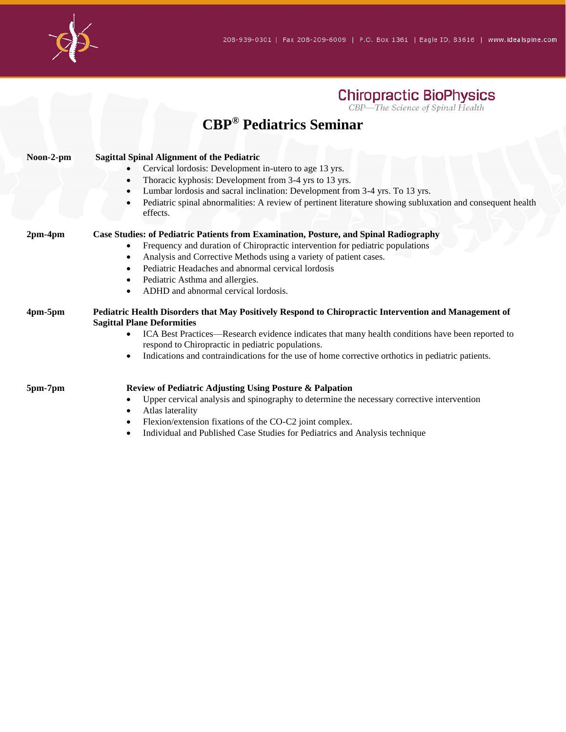

#### **CBP® Pediatrics Seminar**

| Noon-2-pm | <b>Sagittal Spinal Alignment of the Pediatric</b><br>Cervical lordosis: Development in-utero to age 13 yrs.<br>$\bullet$<br>Thoracic kyphosis: Development from 3-4 yrs to 13 yrs.<br>$\bullet$<br>Lumbar lordosis and sacral inclination: Development from 3-4 yrs. To 13 yrs.<br>$\bullet$<br>Pediatric spinal abnormalities: A review of pertinent literature showing subluxation and consequent health<br>$\bullet$<br>effects. |
|-----------|-------------------------------------------------------------------------------------------------------------------------------------------------------------------------------------------------------------------------------------------------------------------------------------------------------------------------------------------------------------------------------------------------------------------------------------|
| $2pm-4pm$ | Case Studies: of Pediatric Patients from Examination, Posture, and Spinal Radiography<br>Frequency and duration of Chiropractic intervention for pediatric populations<br>$\bullet$<br>Analysis and Corrective Methods using a variety of patient cases.<br>٠<br>Pediatric Headaches and abnormal cervical lordosis<br>$\bullet$<br>Pediatric Asthma and allergies.<br>٠<br>ADHD and abnormal cervical lordosis.                    |
| 4pm-5pm   | Pediatric Health Disorders that May Positively Respond to Chiropractic Intervention and Management of<br><b>Sagittal Plane Deformities</b><br>ICA Best Practices—Research evidence indicates that many health conditions have been reported to<br>$\bullet$<br>respond to Chiropractic in pediatric populations.<br>Indications and contraindications for the use of home corrective orthotics in pediatric patients.<br>$\bullet$  |
| 5pm-7pm   | Review of Pediatric Adjusting Using Posture & Palpation<br>Upper cervical analysis and spinography to determine the necessary corrective intervention<br>Atlas laterality<br>٠<br>Flexion/extension fixations of the CO-C2 joint complex.<br>$\bullet$<br>Individual and Published Case Studies for Pediatrics and Analysis technique<br>$\bullet$                                                                                  |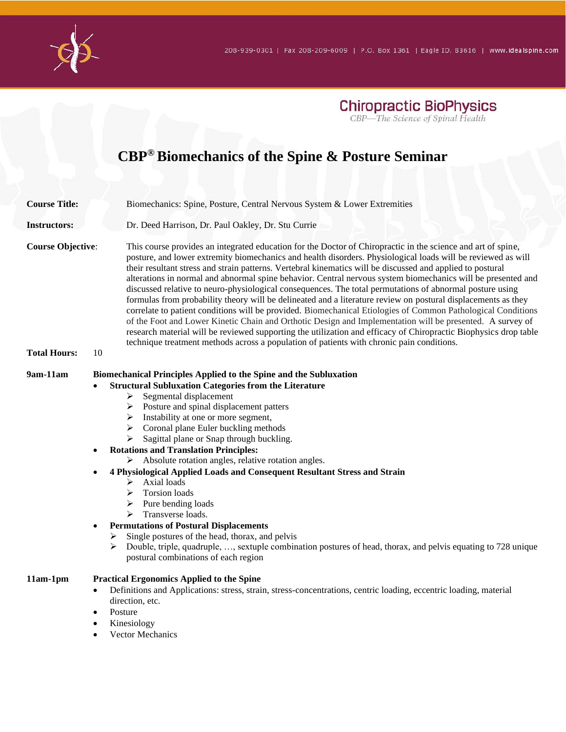

## **CBP® Biomechanics of the Spine & Posture Seminar**

| <b>Course Title:</b>     |                        | Biomechanics: Spine, Posture, Central Nervous System & Lower Extremities                                                                                                                                                                                                                                                                                                                                                                                                                                                                                                                                                                                                                                                                                                                                                                                                                                                                                                                                                                                                                                                              |
|--------------------------|------------------------|---------------------------------------------------------------------------------------------------------------------------------------------------------------------------------------------------------------------------------------------------------------------------------------------------------------------------------------------------------------------------------------------------------------------------------------------------------------------------------------------------------------------------------------------------------------------------------------------------------------------------------------------------------------------------------------------------------------------------------------------------------------------------------------------------------------------------------------------------------------------------------------------------------------------------------------------------------------------------------------------------------------------------------------------------------------------------------------------------------------------------------------|
| <b>Instructors:</b>      |                        | Dr. Deed Harrison, Dr. Paul Oakley, Dr. Stu Currie                                                                                                                                                                                                                                                                                                                                                                                                                                                                                                                                                                                                                                                                                                                                                                                                                                                                                                                                                                                                                                                                                    |
| <b>Course Objective:</b> |                        | This course provides an integrated education for the Doctor of Chiropractic in the science and art of spine,<br>posture, and lower extremity biomechanics and health disorders. Physiological loads will be reviewed as will<br>their resultant stress and strain patterns. Vertebral kinematics will be discussed and applied to postural<br>alterations in normal and abnormal spine behavior. Central nervous system biomechanics will be presented and<br>discussed relative to neuro-physiological consequences. The total permutations of abnormal posture using<br>formulas from probability theory will be delineated and a literature review on postural displacements as they<br>correlate to patient conditions will be provided. Biomechanical Etiologies of Common Pathological Conditions<br>of the Foot and Lower Kinetic Chain and Orthotic Design and Implementation will be presented. A survey of<br>research material will be reviewed supporting the utilization and efficacy of Chiropractic Biophysics drop table<br>technique treatment methods across a population of patients with chronic pain conditions. |
| <b>Total Hours:</b>      | 10                     |                                                                                                                                                                                                                                                                                                                                                                                                                                                                                                                                                                                                                                                                                                                                                                                                                                                                                                                                                                                                                                                                                                                                       |
| 9am-11am                 | ٠<br>➤<br>➤            | Biomechanical Principles Applied to the Spine and the Subluxation<br><b>Structural Subluxation Categories from the Literature</b><br>Segmental displacement<br>➤<br>$\triangleright$ Posture and spinal displacement patters<br>Instability at one or more segment,<br>➤<br>$\triangleright$ Coronal plane Euler buckling methods<br>Sagittal plane or Snap through buckling.<br>➤<br><b>Rotations and Translation Principles:</b><br>Absolute rotation angles, relative rotation angles.<br>➤<br>4 Physiological Applied Loads and Consequent Resultant Stress and Strain<br>Axial loads<br>➤<br>Torsion loads<br>➤<br>Pure bending loads<br>➤<br>Transverse loads.<br>≻<br><b>Permutations of Postural Displacements</b><br>Single postures of the head, thorax, and pelvis<br>Double, triple, quadruple, , sextuple combination postures of head, thorax, and pelvis equating to 728 unique<br>postural combinations of each region                                                                                                                                                                                                |
| 11am-1pm                 | $\bullet$<br>$\bullet$ | <b>Practical Ergonomics Applied to the Spine</b><br>Definitions and Applications: stress, strain, stress-concentrations, centric loading, eccentric loading, material<br>direction, etc.<br>Posture<br>Kinesiology<br><b>Vector Mechanics</b>                                                                                                                                                                                                                                                                                                                                                                                                                                                                                                                                                                                                                                                                                                                                                                                                                                                                                         |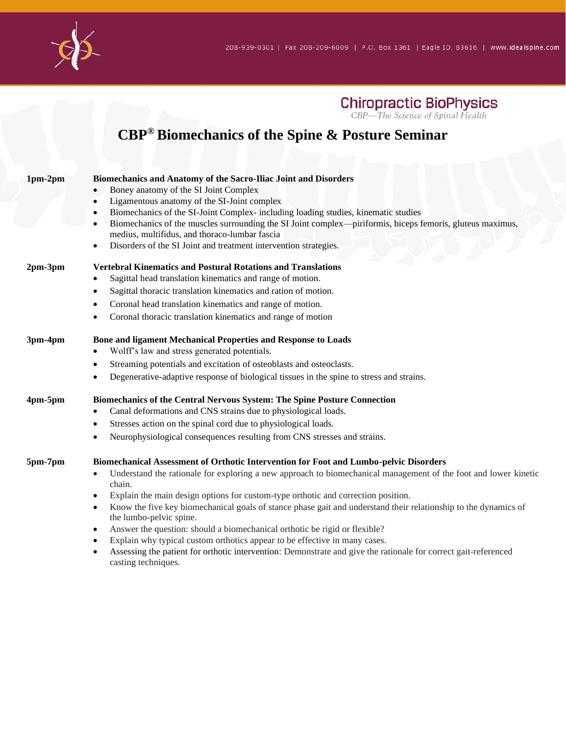

#### **CBP® Biomechanics of the Spine & Posture Seminar**

| $1pm-2pm$ | Biomechanics and Anatomy of the Sacro-Iliac Joint and Disorders                                                              |
|-----------|------------------------------------------------------------------------------------------------------------------------------|
|           | Boney anatomy of the SI Joint Complex<br>$\bullet$                                                                           |
|           | Ligamentous anatomy of the SI-Joint complex<br>$\bullet$                                                                     |
|           | Biomechanics of the SI-Joint Complex-including loading studies, kinematic studies<br>$\bullet$                               |
|           | Biomechanics of the muscles surrounding the SI Joint complex—piriformis, biceps femoris, gluteus maximus,<br>$\bullet$       |
|           | medius, multifidus, and thoraco-lumbar fascia                                                                                |
|           | Disorders of the SI Joint and treatment intervention strategies.<br>٠                                                        |
| $2pm-3pm$ | <b>Vertebral Kinematics and Postural Rotations and Translations</b>                                                          |
|           | Sagittal head translation kinematics and range of motion.<br>٠                                                               |
|           | Sagittal thoracic translation kinematics and ration of motion.<br>$\bullet$                                                  |
|           | Coronal head translation kinematics and range of motion.<br>$\bullet$                                                        |
|           | Coronal thoracic translation kinematics and range of motion<br>٠                                                             |
| 3pm-4pm   | Bone and ligament Mechanical Properties and Response to Loads                                                                |
|           | Wolff's law and stress generated potentials.<br>٠                                                                            |
|           | Streaming potentials and excitation of osteoblasts and osteoclasts.<br>$\bullet$                                             |
|           | Degenerative-adaptive response of biological tissues in the spine to stress and strains.<br>$\bullet$                        |
| $4pm-5pm$ | Biomechanics of the Central Nervous System: The Spine Posture Connection                                                     |
|           | Canal deformations and CNS strains due to physiological loads.<br>$\bullet$                                                  |
|           | Stresses action on the spinal cord due to physiological loads.<br>$\bullet$                                                  |
|           | Neurophysiological consequences resulting from CNS stresses and strains.<br>$\bullet$                                        |
| 5pm-7pm   | Biomechanical Assessment of Orthotic Intervention for Foot and Lumbo-pelvic Disorders                                        |
|           | Understand the rationale for exploring a new approach to biomechanical management of the foot and lower kinetic<br>$\bullet$ |
|           | chain.                                                                                                                       |
|           | Explain the main design options for custom-type orthotic and correction position.<br>$\bullet$                               |
|           | Know the five key biomechanical goals of stance phase gait and understand their relationship to the dynamics of<br>٠         |
|           | the lumbo-pelvic spine.                                                                                                      |
|           | Answer the question: should a biomechanical orthotic be rigid or flexible?<br>$\bullet$                                      |
|           | Explain why typical custom orthotics appear to be effective in many cases.<br>$\bullet$                                      |

• Assessing the patient for orthotic intervention: Demonstrate and give the rationale for correct gait-referenced casting techniques.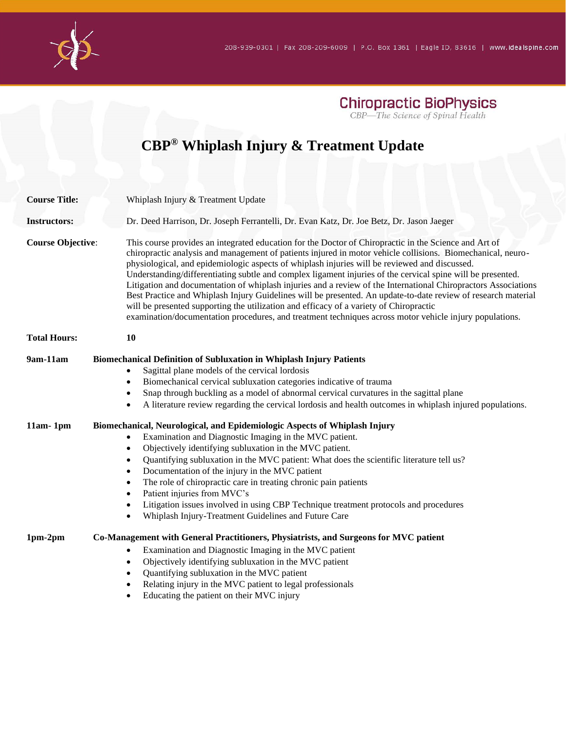

## **CBP® Whiplash Injury & Treatment Update**

| <b>Course Title:</b>     | Whiplash Injury & Treatment Update                                                                                                                                                                                                                                                                                                                                                                                                                                                                                                                                                                                                                                                                                                                                                                                                                                                                                                                                                                                                                                                            |
|--------------------------|-----------------------------------------------------------------------------------------------------------------------------------------------------------------------------------------------------------------------------------------------------------------------------------------------------------------------------------------------------------------------------------------------------------------------------------------------------------------------------------------------------------------------------------------------------------------------------------------------------------------------------------------------------------------------------------------------------------------------------------------------------------------------------------------------------------------------------------------------------------------------------------------------------------------------------------------------------------------------------------------------------------------------------------------------------------------------------------------------|
| <b>Instructors:</b>      | Dr. Deed Harrison, Dr. Joseph Ferrantelli, Dr. Evan Katz, Dr. Joe Betz, Dr. Jason Jaeger                                                                                                                                                                                                                                                                                                                                                                                                                                                                                                                                                                                                                                                                                                                                                                                                                                                                                                                                                                                                      |
| <b>Course Objective:</b> | This course provides an integrated education for the Doctor of Chiropractic in the Science and Art of<br>chiropractic analysis and management of patients injured in motor vehicle collisions. Biomechanical, neuro-<br>physiological, and epidemiologic aspects of whiplash injuries will be reviewed and discussed.<br>Understanding/differentiating subtle and complex ligament injuries of the cervical spine will be presented.<br>Litigation and documentation of whiplash injuries and a review of the International Chiropractors Associations<br>Best Practice and Whiplash Injury Guidelines will be presented. An update-to-date review of research material<br>will be presented supporting the utilization and efficacy of a variety of Chiropractic<br>examination/documentation procedures, and treatment techniques across motor vehicle injury populations.                                                                                                                                                                                                                  |
| <b>Total Hours:</b>      | 10                                                                                                                                                                                                                                                                                                                                                                                                                                                                                                                                                                                                                                                                                                                                                                                                                                                                                                                                                                                                                                                                                            |
| 9am-11am<br>$11am-1pm$   | <b>Biomechanical Definition of Subluxation in Whiplash Injury Patients</b><br>Sagittal plane models of the cervical lordosis<br>Biomechanical cervical subluxation categories indicative of trauma<br>$\bullet$<br>Snap through buckling as a model of abnormal cervical curvatures in the sagittal plane<br>$\bullet$<br>A literature review regarding the cervical lordosis and health outcomes in whiplash injured populations.<br>Biomechanical, Neurological, and Epidemiologic Aspects of Whiplash Injury<br>Examination and Diagnostic Imaging in the MVC patient.<br>Objectively identifying subluxation in the MVC patient.<br>$\bullet$<br>Quantifying subluxation in the MVC patient: What does the scientific literature tell us?<br>$\bullet$<br>Documentation of the injury in the MVC patient<br>٠<br>The role of chiropractic care in treating chronic pain patients<br>$\bullet$<br>Patient injuries from MVC's<br>$\bullet$<br>Litigation issues involved in using CBP Technique treatment protocols and procedures<br>Whiplash Injury-Treatment Guidelines and Future Care |
| $1pm-2pm$                | Co-Management with General Practitioners, Physiatrists, and Surgeons for MVC patient<br>Examination and Diagnostic Imaging in the MVC patient<br>$\bullet$<br>Objectively identifying subluxation in the MVC patient<br>$\bullet$<br>Quantifying subluxation in the MVC patient<br>٠<br>Relating injury in the MVC patient to legal professionals<br>$\bullet$<br>Educating the patient on their MVC injury                                                                                                                                                                                                                                                                                                                                                                                                                                                                                                                                                                                                                                                                                   |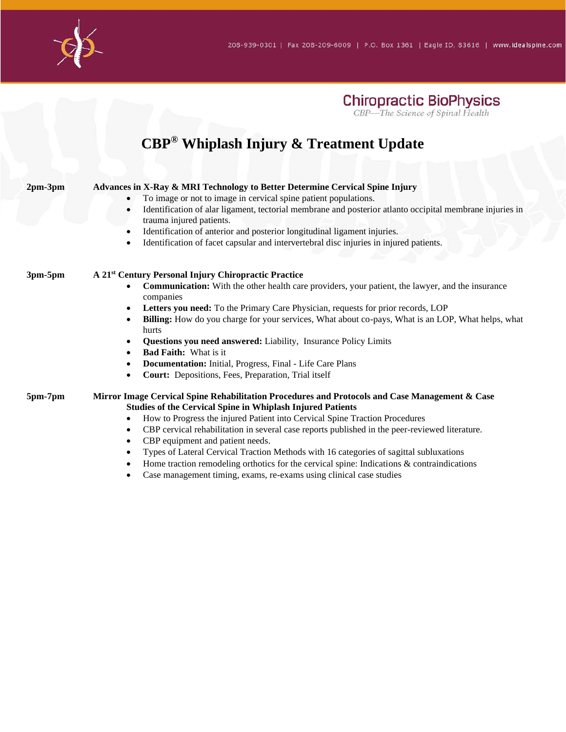

### **CBP® Whiplash Injury & Treatment Update**

| $2pm-3pm$    | Advances in X-Ray & MRI Technology to Better Determine Cervical Spine Injury<br>To image or not to image in cervical spine patient populations.                                                                               |
|--------------|-------------------------------------------------------------------------------------------------------------------------------------------------------------------------------------------------------------------------------|
|              | Identification of alar ligament, tectorial membrane and posterior atlanto occipital membrane injuries in<br>trauma injured patients.<br>Identification of anterior and posterior longitudinal ligament injuries.<br>$\bullet$ |
|              | Identification of facet capsular and intervertebral disc injuries in injured patients.<br>$\bullet$                                                                                                                           |
| $3pm-5pm$    | A 21 <sup>st</sup> Century Personal Injury Chiropractic Practice                                                                                                                                                              |
|              | <b>Communication:</b> With the other health care providers, your patient, the lawyer, and the insurance<br>companies                                                                                                          |
|              | <b>Letters you need:</b> To the Primary Care Physician, requests for prior records, LOP<br>$\bullet$                                                                                                                          |
|              | Billing: How do you charge for your services, What about co-pays, What is an LOP, What helps, what<br>hurts                                                                                                                   |
|              | Questions you need answered: Liability, Insurance Policy Limits                                                                                                                                                               |
|              | <b>Bad Faith:</b> What is it<br>$\bullet$                                                                                                                                                                                     |
|              | <b>Documentation:</b> Initial, Progress, Final - Life Care Plans<br>$\bullet$                                                                                                                                                 |
|              | Court: Depositions, Fees, Preparation, Trial itself<br>$\bullet$                                                                                                                                                              |
| $5pm-7$ $pm$ | Mirror Image Cervical Spine Rehabilitation Procedures and Protocols and Case Management & Case<br><b>Studies of the Cervical Spine in Whiplash Injured Patients</b>                                                           |
|              | How to Progress the injured Patient into Cervical Spine Traction Procedures<br>٠                                                                                                                                              |
|              | CBP cervical rehabilitation in several case reports published in the peer-reviewed literature.<br>$\bullet$                                                                                                                   |
|              | CBP equipment and patient needs.<br>$\bullet$                                                                                                                                                                                 |
|              | Types of Lateral Cervical Traction Methods with 16 categories of sagittal subluxations                                                                                                                                        |
|              | Home traction remodeling orthotics for the cervical spine: Indications & contraindications                                                                                                                                    |

• Case management timing, exams, re-exams using clinical case studies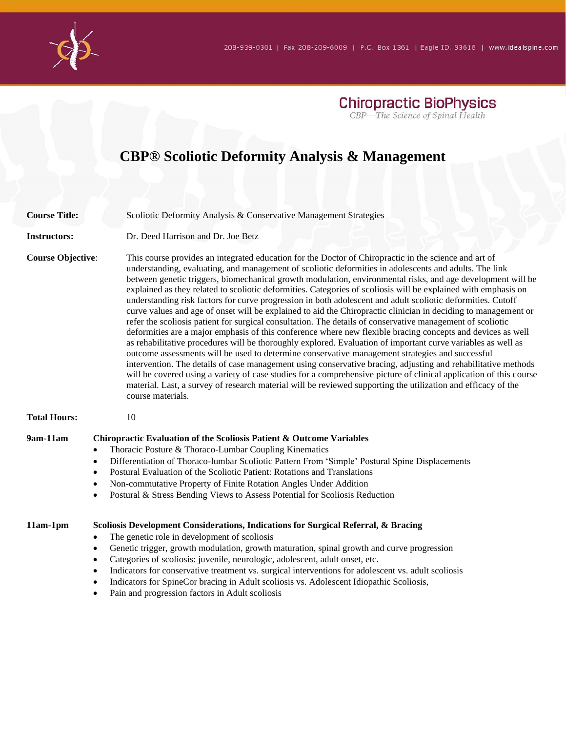

### **CBP® Scoliotic Deformity Analysis & Management**

| <b>Course Title:</b>     | Scoliotic Deformity Analysis & Conservative Management Strategies                                                                                                                                                                                                                                                                                                                                                                                                                                                                                                                                                                                                                                                                                                                                                                                                                                                                                                                                                                                                                                                                                                                                                                                                                                                                                                                                                                                                                                                                                    |
|--------------------------|------------------------------------------------------------------------------------------------------------------------------------------------------------------------------------------------------------------------------------------------------------------------------------------------------------------------------------------------------------------------------------------------------------------------------------------------------------------------------------------------------------------------------------------------------------------------------------------------------------------------------------------------------------------------------------------------------------------------------------------------------------------------------------------------------------------------------------------------------------------------------------------------------------------------------------------------------------------------------------------------------------------------------------------------------------------------------------------------------------------------------------------------------------------------------------------------------------------------------------------------------------------------------------------------------------------------------------------------------------------------------------------------------------------------------------------------------------------------------------------------------------------------------------------------------|
| <b>Instructors:</b>      | Dr. Deed Harrison and Dr. Joe Betz<br>This course provides an integrated education for the Doctor of Chiropractic in the science and art of<br>understanding, evaluating, and management of scoliotic deformities in adolescents and adults. The link<br>between genetic triggers, biomechanical growth modulation, environmental risks, and age development will be<br>explained as they related to scoliotic deformities. Categories of scoliosis will be explained with emphasis on<br>understanding risk factors for curve progression in both adolescent and adult scoliotic deformities. Cutoff<br>curve values and age of onset will be explained to aid the Chiropractic clinician in deciding to management or<br>refer the scoliosis patient for surgical consultation. The details of conservative management of scoliotic<br>deformities are a major emphasis of this conference where new flexible bracing concepts and devices as well<br>as rehabilitative procedures will be thoroughly explored. Evaluation of important curve variables as well as<br>outcome assessments will be used to determine conservative management strategies and successful<br>intervention. The details of case management using conservative bracing, adjusting and rehabilitative methods<br>will be covered using a variety of case studies for a comprehensive picture of clinical application of this course<br>material. Last, a survey of research material will be reviewed supporting the utilization and efficacy of the<br>course materials. |
| <b>Course Objective:</b> |                                                                                                                                                                                                                                                                                                                                                                                                                                                                                                                                                                                                                                                                                                                                                                                                                                                                                                                                                                                                                                                                                                                                                                                                                                                                                                                                                                                                                                                                                                                                                      |
| <b>Total Hours:</b>      | 10                                                                                                                                                                                                                                                                                                                                                                                                                                                                                                                                                                                                                                                                                                                                                                                                                                                                                                                                                                                                                                                                                                                                                                                                                                                                                                                                                                                                                                                                                                                                                   |
| 9am-11am                 | Chiropractic Evaluation of the Scoliosis Patient & Outcome Variables<br>Thoracic Posture & Thoraco-Lumbar Coupling Kinematics<br>$\bullet$<br>Differentiation of Thoraco-lumbar Scoliotic Pattern From 'Simple' Postural Spine Displacements<br>$\bullet$<br>Postural Evaluation of the Scoliotic Patient: Rotations and Translations<br>$\bullet$<br>Non-commutative Property of Finite Rotation Angles Under Addition<br>٠<br>Postural & Stress Bending Views to Assess Potential for Scoliosis Reduction<br>٠                                                                                                                                                                                                                                                                                                                                                                                                                                                                                                                                                                                                                                                                                                                                                                                                                                                                                                                                                                                                                                     |
| $11am-1pm$               | Scoliosis Development Considerations, Indications for Surgical Referral, & Bracing<br>The genetic role in development of scoliosis<br>٠<br>Genetic trigger, growth modulation, growth maturation, spinal growth and curve progression<br>$\bullet$<br>Categories of scoliosis: juvenile, neurologic, adolescent, adult onset, etc.<br>$\bullet$<br>Indicators for conservative treatment vs. surgical interventions for adolescent vs. adult scoliosis<br>٠<br>Indicators for SpineCor bracing in Adult scoliosis vs. Adolescent Idiopathic Scoliosis,                                                                                                                                                                                                                                                                                                                                                                                                                                                                                                                                                                                                                                                                                                                                                                                                                                                                                                                                                                                               |

• Pain and progression factors in Adult scoliosis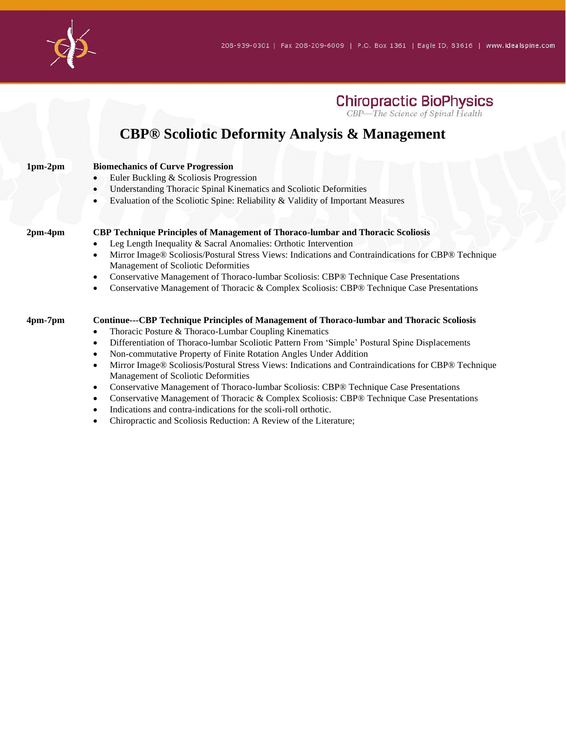

#### **CBP® Scoliotic Deformity Analysis & Management**

| $1pm-2pm$     | <b>Biomechanics of Curve Progression</b><br>Euler Buckling & Scoliosis Progression<br>Understanding Thoracic Spinal Kinematics and Scoliotic Deformities<br>$\bullet$ |
|---------------|-----------------------------------------------------------------------------------------------------------------------------------------------------------------------|
|               | Evaluation of the Scoliotic Spine: Reliability & Validity of Important Measures                                                                                       |
| $2pm-4pm$     | CBP Technique Principles of Management of Thoraco-lumbar and Thoracic Scoliosis<br>Leg Length Inequality & Sacral Anomalies: Orthotic Intervention                    |
|               | Mirror Image® Scoliosis/Postural Stress Views: Indications and Contraindications for CBP® Technique<br>Management of Scoliotic Deformities                            |
|               | Conservative Management of Thoraco-lumbar Scoliosis: CBP® Technique Case Presentations                                                                                |
|               | Conservative Management of Thoracic & Complex Scoliosis: CBP® Technique Case Presentations                                                                            |
| $4pm$ -7 $pm$ | <b>Continue---CBP Technique Principles of Management of Thoraco-lumbar and Thoracic Scoliosis</b>                                                                     |
|               | Thoracic Posture & Thoraco-Lumbar Coupling Kinematics<br>$\bullet$                                                                                                    |
|               | Differentiation of Thoraco-lumbar Scoliotic Pattern From 'Simple' Postural Spine Displacements                                                                        |
|               | Non-commutative Property of Finite Rotation Angles Under Addition                                                                                                     |
|               | Mirror Image® Scoliosis/Postural Stress Views: Indications and Contraindications for CBP® Technique                                                                   |
|               | Management of Scoliotic Deformities                                                                                                                                   |
|               | Conservative Management of Thoraco-lumbar Scoliosis: CBP® Technique Case Presentations<br>$\bullet$                                                                   |
|               | Conservative Management of Thoracic & Complex Scoliosis: CBP® Technique Case Presentations                                                                            |

- Indications and contra-indications for the scoli-roll orthotic.
- Chiropractic and Scoliosis Reduction: A Review of the Literature;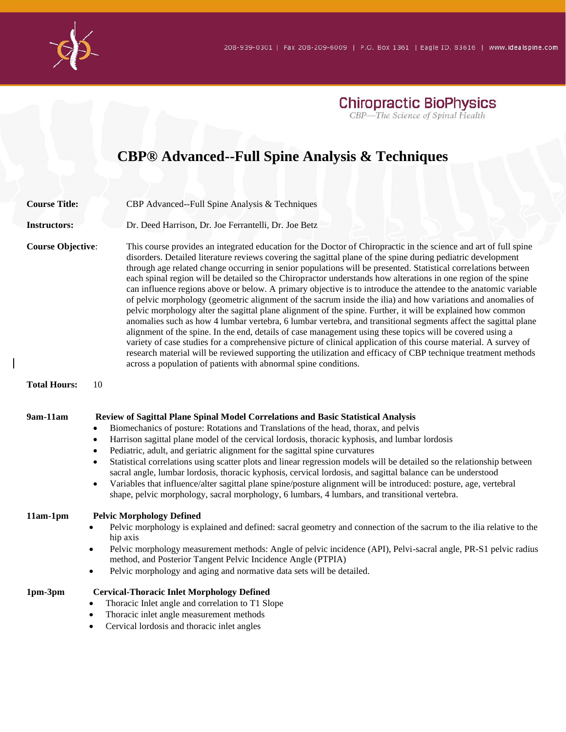## **CBP® Advanced--Full Spine Analysis & Techniques**

| <b>Course Title:</b>                                              | CBP Advanced--Full Spine Analysis & Techniques                                                                                                                                                                                                                                                                                                                                                                                                                                                                                                                                                                                                                                                                                                                                                                                                                                                                                                                                                                                                                                                                                                                                                                                                                                                                                                                 |
|-------------------------------------------------------------------|----------------------------------------------------------------------------------------------------------------------------------------------------------------------------------------------------------------------------------------------------------------------------------------------------------------------------------------------------------------------------------------------------------------------------------------------------------------------------------------------------------------------------------------------------------------------------------------------------------------------------------------------------------------------------------------------------------------------------------------------------------------------------------------------------------------------------------------------------------------------------------------------------------------------------------------------------------------------------------------------------------------------------------------------------------------------------------------------------------------------------------------------------------------------------------------------------------------------------------------------------------------------------------------------------------------------------------------------------------------|
| <b>Instructors:</b>                                               | Dr. Deed Harrison, Dr. Joe Ferrantelli, Dr. Joe Betz                                                                                                                                                                                                                                                                                                                                                                                                                                                                                                                                                                                                                                                                                                                                                                                                                                                                                                                                                                                                                                                                                                                                                                                                                                                                                                           |
| <b>Course Objective:</b>                                          | This course provides an integrated education for the Doctor of Chiropractic in the science and art of full spine<br>disorders. Detailed literature reviews covering the sagittal plane of the spine during pediatric development<br>through age related change occurring in senior populations will be presented. Statistical correlations between<br>each spinal region will be detailed so the Chiropractor understands how alterations in one region of the spine<br>can influence regions above or below. A primary objective is to introduce the attendee to the anatomic variable<br>of pelvic morphology (geometric alignment of the sacrum inside the ilia) and how variations and anomalies of<br>pelvic morphology alter the sagittal plane alignment of the spine. Further, it will be explained how common<br>anomalies such as how 4 lumbar vertebra, 6 lumbar vertebra, and transitional segments affect the sagittal plane<br>alignment of the spine. In the end, details of case management using these topics will be covered using a<br>variety of case studies for a comprehensive picture of clinical application of this course material. A survey of<br>research material will be reviewed supporting the utilization and efficacy of CBP technique treatment methods<br>across a population of patients with abnormal spine conditions. |
| <b>Total Hours:</b><br>10                                         |                                                                                                                                                                                                                                                                                                                                                                                                                                                                                                                                                                                                                                                                                                                                                                                                                                                                                                                                                                                                                                                                                                                                                                                                                                                                                                                                                                |
| 9am-11am<br>$\bullet$<br>$\bullet$<br>$\bullet$<br>$\bullet$<br>٠ | Review of Sagittal Plane Spinal Model Correlations and Basic Statistical Analysis<br>Biomechanics of posture: Rotations and Translations of the head, thorax, and pelvis<br>Harrison sagittal plane model of the cervical lordosis, thoracic kyphosis, and lumbar lordosis<br>Pediatric, adult, and geriatric alignment for the sagittal spine curvatures<br>Statistical correlations using scatter plots and linear regression models will be detailed so the relationship between<br>sacral angle, lumbar lordosis, thoracic kyphosis, cervical lordosis, and sagittal balance can be understood<br>Variables that influence/alter sagittal plane spine/posture alignment will be introduced: posture, age, vertebral<br>shape, pelvic morphology, sacral morphology, 6 lumbars, 4 lumbars, and transitional vertebra.                                                                                                                                                                                                                                                                                                                                                                                                                                                                                                                                       |
| $11am-1pm$<br>$\bullet$<br>$\bullet$<br>$\bullet$                 | <b>Pelvic Morphology Defined</b><br>Pelvic morphology is explained and defined: sacral geometry and connection of the sacrum to the ilia relative to the<br>hip axis<br>Pelvic morphology measurement methods: Angle of pelvic incidence (API), Pelvi-sacral angle, PR-S1 pelvic radius<br>method, and Posterior Tangent Pelvic Incidence Angle (PTPIA)<br>Pelvic morphology and aging and normative data sets will be detailed.                                                                                                                                                                                                                                                                                                                                                                                                                                                                                                                                                                                                                                                                                                                                                                                                                                                                                                                               |
| 1pm-3pm<br>$\bullet$<br>$\bullet$<br>$\bullet$                    | <b>Cervical-Thoracic Inlet Morphology Defined</b><br>Thoracic Inlet angle and correlation to T1 Slope<br>Thoracic inlet angle measurement methods<br>Cervical lordosis and thoracic inlet angles                                                                                                                                                                                                                                                                                                                                                                                                                                                                                                                                                                                                                                                                                                                                                                                                                                                                                                                                                                                                                                                                                                                                                               |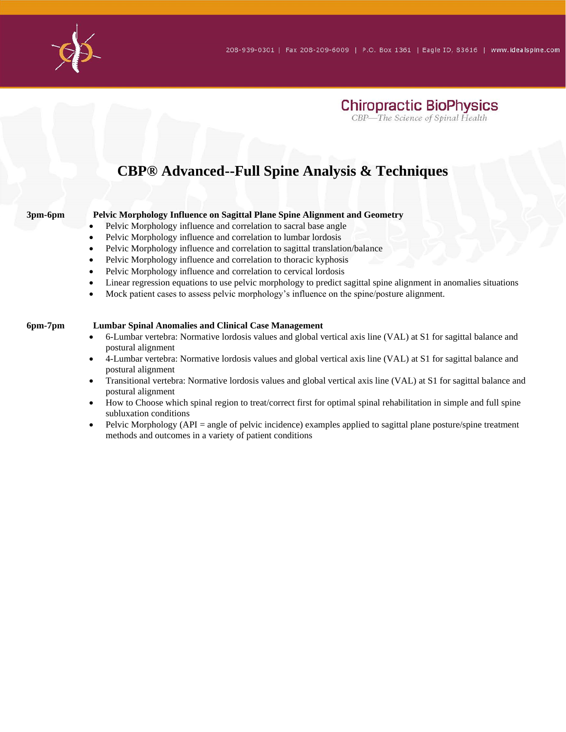

#### **CBP® Advanced--Full Spine Analysis & Techniques**

#### **3pm-6pm Pelvic Morphology Influence on Sagittal Plane Spine Alignment and Geometry**

- Pelvic Morphology influence and correlation to sacral base angle
- Pelvic Morphology influence and correlation to lumbar lordosis
- Pelvic Morphology influence and correlation to sagittal translation/balance
- Pelvic Morphology influence and correlation to thoracic kyphosis
- Pelvic Morphology influence and correlation to cervical lordosis
- Linear regression equations to use pelvic morphology to predict sagittal spine alignment in anomalies situations
- Mock patient cases to assess pelvic morphology's influence on the spine/posture alignment.

#### **6pm-7pm Lumbar Spinal Anomalies and Clinical Case Management**

- 6-Lumbar vertebra: Normative lordosis values and global vertical axis line (VAL) at S1 for sagittal balance and postural alignment
- 4-Lumbar vertebra: Normative lordosis values and global vertical axis line (VAL) at S1 for sagittal balance and postural alignment
- Transitional vertebra: Normative lordosis values and global vertical axis line (VAL) at S1 for sagittal balance and postural alignment
- How to Choose which spinal region to treat/correct first for optimal spinal rehabilitation in simple and full spine subluxation conditions
- Pelvic Morphology (API = angle of pelvic incidence) examples applied to sagittal plane posture/spine treatment methods and outcomes in a variety of patient conditions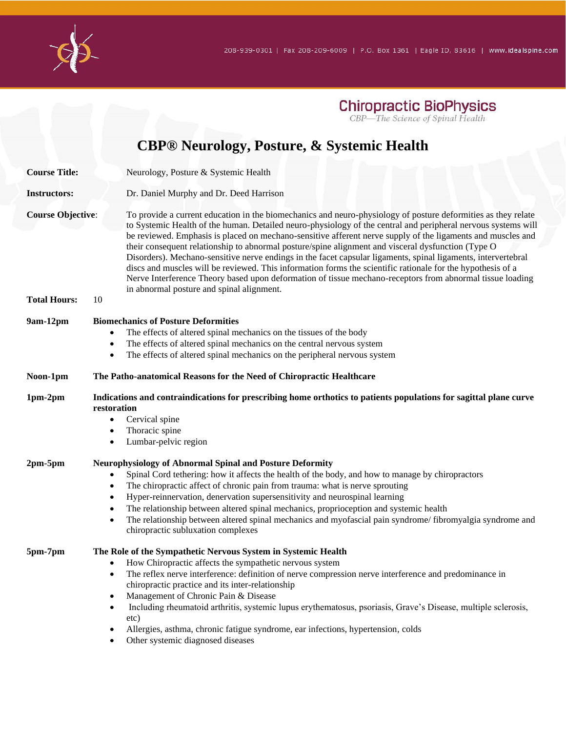

#### **CBP® Neurology, Posture, & Systemic Health Course Title:** Neurology, Posture & Systemic Health **Instructors:** Dr. Daniel Murphy and Dr. Deed Harrison **Course Objective**: To provide a current education in the biomechanics and neuro-physiology of posture deformities as they relate to Systemic Health of the human. Detailed neuro-physiology of the central and peripheral nervous systems will be reviewed. Emphasis is placed on mechano-sensitive afferent nerve supply of the ligaments and muscles and their consequent relationship to abnormal posture/spine alignment and visceral dysfunction (Type O Disorders). Mechano-sensitive nerve endings in the facet capsular ligaments, spinal ligaments, intervertebral discs and muscles will be reviewed. This information forms the scientific rationale for the hypothesis of a Nerve Interference Theory based upon deformation of tissue mechano-receptors from abnormal tissue loading in abnormal posture and spinal alignment. **Total Hours:** 10 **9am-12pm Biomechanics of Posture Deformities** • The effects of altered spinal mechanics on the tissues of the body The effects of altered spinal mechanics on the central nervous system The effects of altered spinal mechanics on the peripheral nervous system **Noon-1pm The Patho-anatomical Reasons for the Need of Chiropractic Healthcare 1pm-2pm Indications and contraindications for prescribing home orthotics to patients populations for sagittal plane curve restoration** • Cervical spine Thoracic spine Lumbar-pelvic region **2pm-5pm Neurophysiology of Abnormal Spinal and Posture Deformity** • Spinal Cord tethering: how it affects the health of the body, and how to manage by chiropractors The chiropractic affect of chronic pain from trauma: what is nerve sprouting • Hyper-reinnervation, denervation supersensitivity and neurospinal learning The relationship between altered spinal mechanics, proprioception and systemic health • The relationship between altered spinal mechanics and myofascial pain syndrome/ fibromyalgia syndrome and chiropractic subluxation complexes **5pm-7pm The Role of the Sympathetic Nervous System in Systemic Health**

- How Chiropractic affects the sympathetic nervous system
- The reflex nerve interference: definition of nerve compression nerve interference and predominance in chiropractic practice and its inter-relationship
- Management of Chronic Pain & Disease
- Including rheumatoid arthritis, systemic lupus erythematosus, psoriasis, Grave's Disease, multiple sclerosis, etc)
- Allergies, asthma, chronic fatigue syndrome, ear infections, hypertension, colds
- Other systemic diagnosed diseases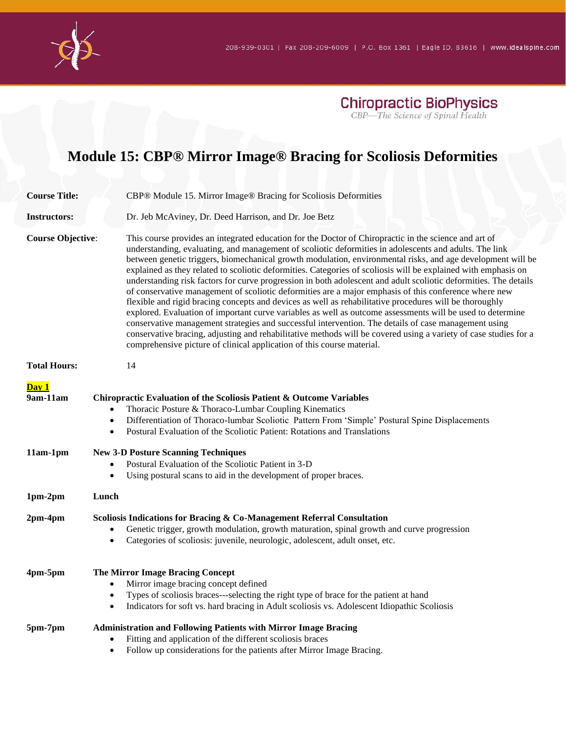

## **Module 15: CBP® Mirror Image® Bracing for Scoliosis Deformities**

| <b>Course Title:</b>            | CBP® Module 15. Mirror Image® Bracing for Scoliosis Deformities                                                                                                                                                                                                                                                                                                                                                                                                                                                                                                                                                                                                                                                                                                                                                                                                                                                                                                                                                                                                                                                                                                                                              |
|---------------------------------|--------------------------------------------------------------------------------------------------------------------------------------------------------------------------------------------------------------------------------------------------------------------------------------------------------------------------------------------------------------------------------------------------------------------------------------------------------------------------------------------------------------------------------------------------------------------------------------------------------------------------------------------------------------------------------------------------------------------------------------------------------------------------------------------------------------------------------------------------------------------------------------------------------------------------------------------------------------------------------------------------------------------------------------------------------------------------------------------------------------------------------------------------------------------------------------------------------------|
| <b>Instructors:</b>             | Dr. Jeb McAviney, Dr. Deed Harrison, and Dr. Joe Betz                                                                                                                                                                                                                                                                                                                                                                                                                                                                                                                                                                                                                                                                                                                                                                                                                                                                                                                                                                                                                                                                                                                                                        |
| <b>Course Objective:</b>        | This course provides an integrated education for the Doctor of Chiropractic in the science and art of<br>understanding, evaluating, and management of scoliotic deformities in adolescents and adults. The link<br>between genetic triggers, biomechanical growth modulation, environmental risks, and age development will be<br>explained as they related to scoliotic deformities. Categories of scoliosis will be explained with emphasis on<br>understanding risk factors for curve progression in both adolescent and adult scoliotic deformities. The details<br>of conservative management of scoliotic deformities are a major emphasis of this conference where new<br>flexible and rigid bracing concepts and devices as well as rehabilitative procedures will be thoroughly<br>explored. Evaluation of important curve variables as well as outcome assessments will be used to determine<br>conservative management strategies and successful intervention. The details of case management using<br>conservative bracing, adjusting and rehabilitative methods will be covered using a variety of case studies for a<br>comprehensive picture of clinical application of this course material. |
| <b>Total Hours:</b>             | 14                                                                                                                                                                                                                                                                                                                                                                                                                                                                                                                                                                                                                                                                                                                                                                                                                                                                                                                                                                                                                                                                                                                                                                                                           |
| Day 1<br>9am-11am<br>$11am-1pm$ | Chiropractic Evaluation of the Scoliosis Patient & Outcome Variables<br>Thoracic Posture & Thoraco-Lumbar Coupling Kinematics<br>Differentiation of Thoraco-lumbar Scoliotic Pattern From 'Simple' Postural Spine Displacements<br>$\bullet$<br>Postural Evaluation of the Scoliotic Patient: Rotations and Translations<br>$\bullet$<br><b>New 3-D Posture Scanning Techniques</b><br>Postural Evaluation of the Scoliotic Patient in 3-D<br>$\bullet$                                                                                                                                                                                                                                                                                                                                                                                                                                                                                                                                                                                                                                                                                                                                                      |
|                                 | Using postural scans to aid in the development of proper braces.<br>$\bullet$                                                                                                                                                                                                                                                                                                                                                                                                                                                                                                                                                                                                                                                                                                                                                                                                                                                                                                                                                                                                                                                                                                                                |
| 1pm-2pm                         | Lunch                                                                                                                                                                                                                                                                                                                                                                                                                                                                                                                                                                                                                                                                                                                                                                                                                                                                                                                                                                                                                                                                                                                                                                                                        |
| $2pm-4pm$                       | Scoliosis Indications for Bracing & Co-Management Referral Consultation<br>Genetic trigger, growth modulation, growth maturation, spinal growth and curve progression<br>Categories of scoliosis: juvenile, neurologic, adolescent, adult onset, etc.<br>$\bullet$                                                                                                                                                                                                                                                                                                                                                                                                                                                                                                                                                                                                                                                                                                                                                                                                                                                                                                                                           |
| 4pm-5pm                         | The Mirror Image Bracing Concept<br>Mirror image bracing concept defined<br>$\bullet$<br>Types of scoliosis braces---selecting the right type of brace for the patient at hand<br>$\bullet$<br>Indicators for soft vs. hard bracing in Adult scoliosis vs. Adolescent Idiopathic Scoliosis<br>$\bullet$                                                                                                                                                                                                                                                                                                                                                                                                                                                                                                                                                                                                                                                                                                                                                                                                                                                                                                      |
| 5pm-7pm                         | <b>Administration and Following Patients with Mirror Image Bracing</b><br>Fitting and application of the different scoliosis braces<br>$\bullet$<br>Follow up considerations for the patients after Mirror Image Bracing.<br>$\bullet$                                                                                                                                                                                                                                                                                                                                                                                                                                                                                                                                                                                                                                                                                                                                                                                                                                                                                                                                                                       |